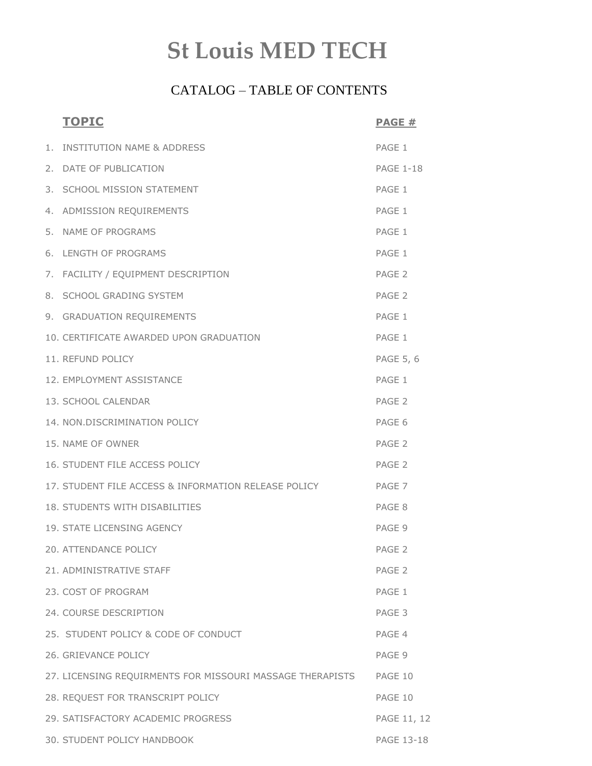# **St Louis MED TECH**

## CATALOG – TABLE OF CONTENTS

|    | <b>TOPIC</b>                                              | <b>PAGE #</b>     |
|----|-----------------------------------------------------------|-------------------|
| 1. | <b>INSTITUTION NAME &amp; ADDRESS</b>                     | PAGE 1            |
| 2. | DATE OF PUBLICATION                                       | <b>PAGE 1-18</b>  |
| 3. | <b>SCHOOL MISSION STATEMENT</b>                           | PAGE 1            |
| 4. | ADMISSION REQUIREMENTS                                    | PAGE 1            |
|    | 5. NAME OF PROGRAMS                                       | PAGE 1            |
| 6. | <b>LENGTH OF PROGRAMS</b>                                 | PAGE 1            |
| 7. | FACILITY / EQUIPMENT DESCRIPTION                          | PAGE <sub>2</sub> |
|    | 8. SCHOOL GRADING SYSTEM                                  | PAGE <sub>2</sub> |
|    | 9. GRADUATION REQUIREMENTS                                | PAGE 1            |
|    | 10. CERTIFICATE AWARDED UPON GRADUATION                   | PAGE 1            |
|    | 11. REFUND POLICY                                         | PAGE 5, 6         |
|    | 12. EMPLOYMENT ASSISTANCE                                 | PAGE 1            |
|    | 13. SCHOOL CALENDAR                                       | PAGE <sub>2</sub> |
|    | 14. NON.DISCRIMINATION POLICY                             | PAGE 6            |
|    | 15. NAME OF OWNER                                         | PAGE <sub>2</sub> |
|    | 16. STUDENT FILE ACCESS POLICY                            | PAGE 2            |
|    | 17. STUDENT FILE ACCESS & INFORMATION RELEASE POLICY      | PAGE <sub>7</sub> |
|    | 18. STUDENTS WITH DISABILITIES                            | PAGE 8            |
|    | 19. STATE LICENSING AGENCY                                | PAGE 9            |
|    | 20. ATTENDANCE POLICY                                     | PAGE 2            |
|    | 21. ADMINISTRATIVE STAFF                                  | PAGE <sub>2</sub> |
|    | 23. COST OF PROGRAM                                       | PAGE 1            |
|    | 24. COURSE DESCRIPTION                                    | PAGE 3            |
|    | 25. STUDENT POLICY & CODE OF CONDUCT                      | PAGE 4            |
|    | 26. GRIEVANCE POLICY                                      | PAGE 9            |
|    | 27. LICENSING REQUIRMENTS FOR MISSOURI MASSAGE THERAPISTS | PAGE 10           |
|    | 28. REQUEST FOR TRANSCRIPT POLICY                         | PAGE 10           |
|    | 29. SATISFACTORY ACADEMIC PROGRESS                        | PAGE 11, 12       |
|    | 30. STUDENT POLICY HANDBOOK                               | PAGE 13-18        |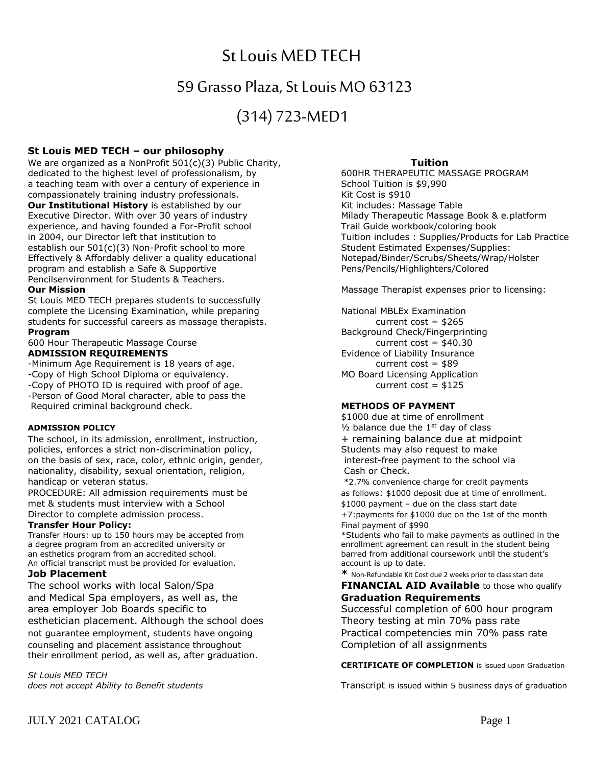## St Louis MED TECH

## 59 Grasso Plaza, St Louis MO 63123

## (314) 723-MED1

### **St Louis MED TECH – our philosophy**

We are organized as a NonProfit 501(c)(3) Public Charity, **Tuition** dedicated to the highest level of professionalism, by 600HR THERAPEUTIC MASSAGE PROGRAM a teaching team with over a century of experience in School Tuition is \$9,990 compassionately training industry professionals. The mass of the Cost is \$910 **Our Institutional History** is established by our **Kit includes: Massage Table** Executive Director. With over 30 years of industry **Multimediate Children** Milady Therapeutic Massage Book & e.platform experience, and having founded a For-Profit school Trail Guide workbook/coloring book in 2004, our Director left that institution to Tuition includes : Supplies/Products for Lab Practice establish our 501(c)(3) Non-Profit school to more Student Estimated Expenses/Supplies: Effectively & Affordably deliver a quality educational Notepad/Binder/Scrubs/Sheets/Wrap/Holster program and establish a Safe & Supportive Pens/Pencils/Highlighters/Colored Pencilsenvironment for Students & Teachers.

St Louis MED TECH prepares students to successfully complete the Licensing Examination, while preparing National MBLEx Examination students for successful careers as massage therapists.  $\frac{1}{265}$  current cost = \$265 **Program** Background Check/Fingerprinting

600 Hour Therapeutic Massage Course current cost = \$40.30 **ADMISSION REQUIREMENTS EVIOUS EVIDENCE OF Liability Insurance** 

-Minimum Age Requirement is 18 years of age. current cost = \$89

-Copy of High School Diploma or equivalency. MO Board Licensing Application

-Copy of PHOTO ID is required with proof of age.  $\blacksquare$  current cost = \$125

-Person of Good Moral character, able to pass the Required criminal background check. **METHODS OF PAYMENT**

The school, in its admission, enrollment, instruction, entitled the school of the school, in its admission, enrollment, instruction, policies, enforces a strict non-discrimination policy, entitled as Students may also request to make on the basis of sex, race, color, ethnic origin, gender, interest-free payment to the school via nationality, disability, sexual orientation, religion, and the cash or Check. handicap or veteran status. The status of the status of the status of the status of the status of the status of the status of the status of the status of the status of the status of the status of the status of the status o

PROCEDURE: All admission requirements must be and as follows: \$1000 deposit due at time of enrollment. met & students must interview with a School \$1000 payment – due on the class start date Director to complete admission process.  $+7:$  payments for \$1000 due on the 1st of the month

#### **Transfer Hour Policy:** Transfer Hour Policy:

an esthetics program from an accredited school.<br>
An official transcript must be provided for evaluation.<br>
An official transcript must be provided for evaluation. An official transcript must be provided for evaluation.

and Medical Spa employers, as well as, the **Graduation Requirements** area employer Job Boards specific to Successful completion of 600 hour program esthetician placement. Although the school does Theory testing at min 70% pass rate not guarantee employment, students have ongoing entity related Practical competencies min 70% pass rate counseling and placement assistance throughout Completion of all assignments their enrollment period, as well as, after graduation.

*St Louis MED TECH*

**Our Mission Constanting Constanting Constanting Constanting Massage Therapist expenses prior to licensing:** 

\$1000 due at time of enrollment **ADMISSION POLICY 1988 1998 12 and 1999 12 and 1999 12 and 1999 12 and 1999 12 and 1999 12 and 1999 12 and 1999 12 and 1999 12 and 1999 12 and 1999 12 and 1999 12 and 1999 12 and 1999 12 and** 

Transfer Hours: up to 150 hours may be accepted from the same that the students who fail to make payments as outlined in the student being a degree program from an accredited university or enrollment agreement can result in the student being

**Job Placement** *\** **Non-Refundable Kit Cost due 2 weeks prior to class start date** The school works with local Salon/Spa **FINANCIAL AID Available** to those who qualify

**CERTIFICATE OF COMPLETION** is issued upon Graduation

*does not accept Ability to Benefit students* Transcript is issued within 5 business days of graduation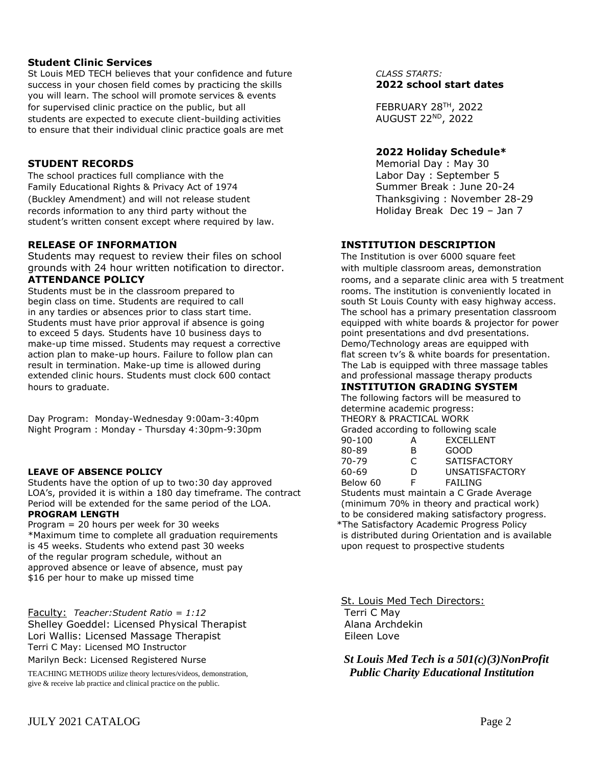### **Student Clinic Services**

St Louis MED TECH believes that your confidence and future *CLASS STARTS:* success in your chosen field comes by practicing the skills **2022 school start dates** you will learn. The school will promote services & events for supervised clinic practice on the public, but all  $FEBRUARY 28<sup>TH</sup>$ , 2022 students are expected to execute client-building activities AUGUST 22<sup>ND</sup>, 2022 to ensure that their individual clinic practice goals are met

The school practices full compliance with the Labor Day : September 5 Family Educational Rights & Privacy Act of 1974 Summer Break : June 20-24 (Buckley Amendment) and will not release student Thanksgiving : November 28-29 records information to any third party without the Holiday Break Dec 19 – Jan 7 student's written consent except where required by law.

Students may request to review their files on school The Institution is over 6000 square feet grounds with 24 hour written notification to director. with multiple classroom areas, demonstration **ATTENDANCE POLICY Results and a separate clinic area with 5 treatment ATTENDANCE POLICY** 

Students must be in the classroom prepared to rooms. The institution is conveniently located in begin class on time. Students are required to call south St Louis County with easy highway access. in any tardies or absences prior to class start time. The school has a primary presentation classroom Students must have prior approval if absence is going equipped with white boards & projector for power to exceed 5 days*.* Students have 10 business days to point presentations and dvd presentations. make-up time missed. Students may request a corrective Demo/Technology areas are equipped with action plan to make-up hours. Failure to follow plan can flat screen tv's & white boards for presentation. result in termination. Make-up time is allowed during The Lab is equipped with three massage tables extended clinic hours. Students must clock 600 contact and professional massage therapy products hours to graduate. **INSTITUTION GRADING SYSTEM**

Day Program: Monday-Wednesday 9:00am-3:40pm THEORY & PRACTICAL WORK Night Program : Monday - Thursday 4:30pm-9:30pm Graded according to following scale

Students have the option of up to two:30 day approved Below 60 F FAILING LOA's, provided it is within a 180 day timeframe. The contract Students must maintain a C Grade Average Period will be extended for the same period of the LOA. (minimum 70% in theory and practical work) **PROGRAM LENGTH The construction of the considered making satisfactory progress.** 

Program  $= 20$  hours per week for 30 weeks  $*T$ he Satisfactory Academic Progress Policy \*Maximum time to complete all graduation requirements is distributed during Orientation and is available is 45 weeks. Students who extend past 30 weeks upon request to prospective students of the regular program schedule, without an approved absence or leave of absence, must pay \$16 per hour to make up missed time

Faculty: Teacher: Student Ratio = 1:12 Terri C May Shelley Goeddel: Licensed Physical Therapist Alana Archdekin Lori Wallis: Licensed Massage Therapist Eileen Love Terri C May: Licensed MO Instructor Marilyn Beck: Licensed Registered Nurse *St Louis Med Tech is a 501(c)(3)NonProfit* 

give & receive lab practice and clinical practice on the public.

#### **2022 Holiday Schedule\***

**STUDENT RECORDS** Memorial Day : May 30

### **RELEASE OF INFORMATION INSTITUTION DESCRIPTION**

The following factors will be measured to determine academic progress: 90-100 A EXCELLENT 80-89 B GOOD 70-79 C SATISFACTORY **LEAVE OF ABSENCE POLICY** 60-69 D UNSATISFACTORY

St. Louis Med Tech Directors:

TEACHING METHODS utilize theory lectures/videos, demonstration, *Public Charity Educational Institution*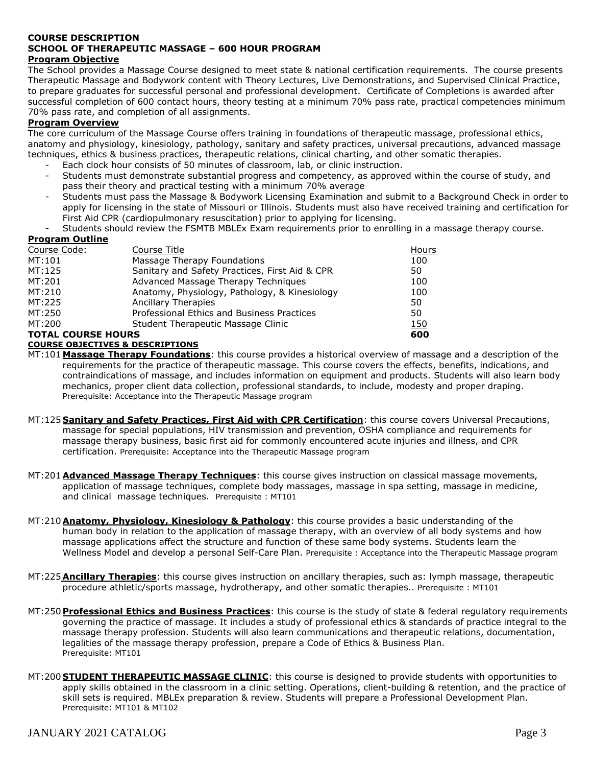## **COURSE DESCRIPTION SCHOOL OF THERAPEUTIC MASSAGE – 600 HOUR PROGRAM**

**Program Objective**

The School provides a Massage Course designed to meet state & national certification requirements. The course presents Therapeutic Massage and Bodywork content with Theory Lectures, Live Demonstrations, and Supervised Clinical Practice, to prepare graduates for successful personal and professional development. Certificate of Completions is awarded after successful completion of 600 contact hours, theory testing at a minimum 70% pass rate, practical competencies minimum 70% pass rate, and completion of all assignments.

#### **Program Overview**

The core curriculum of the Massage Course offers training in foundations of therapeutic massage, professional ethics, anatomy and physiology, kinesiology, pathology, sanitary and safety practices, universal precautions, advanced massage techniques, ethics & business practices, therapeutic relations, clinical charting, and other somatic therapies.

- Each clock hour consists of 50 minutes of classroom, lab, or clinic instruction.
- Students must demonstrate substantial progress and competency, as approved within the course of study, and pass their theory and practical testing with a minimum 70% average
- Students must pass the Massage & Bodywork Licensing Examination and submit to a Background Check in order to apply for licensing in the state of Missouri or Illinois. Students must also have received training and certification for First Aid CPR (cardiopulmonary resuscitation) prior to applying for licensing.
- Students should review the FSMTB MBLEx Exam requirements prior to enrolling in a massage therapy course.

### **Program Outline**

| Course Code:              | Course Title                                   | Hours |
|---------------------------|------------------------------------------------|-------|
| MT:101                    | Massage Therapy Foundations                    | 100   |
| MT:125                    | Sanitary and Safety Practices, First Aid & CPR | 50    |
| MT:201                    | Advanced Massage Therapy Techniques            | 100   |
| MT:210                    | Anatomy, Physiology, Pathology, & Kinesiology  | 100   |
| MT:225                    | Ancillary Therapies                            | 50    |
| MT:250                    | Professional Ethics and Business Practices     | 50    |
| MT:200                    | Student Therapeutic Massage Clinic             | 150   |
| <b>TOTAL COURSE HOURS</b> | 600                                            |       |

#### **COURSE OBJECTIVES & DESCRIPTIONS**

- MT:101 **Massage Therapy Foundations**: this course provides a historical overview of massage and a description of the requirements for the practice of therapeutic massage. This course covers the effects, benefits, indications, and contraindications of massage, and includes information on equipment and products. Students will also learn body mechanics, proper client data collection, professional standards, to include, modesty and proper draping. Prerequisite: Acceptance into the Therapeutic Massage program
- MT:125 **Sanitary and Safety Practices, First Aid with CPR Certification**: this course covers Universal Precautions, massage for special populations, HIV transmission and prevention, OSHA compliance and requirements for massage therapy business, basic first aid for commonly encountered acute injuries and illness, and CPR certification. Prerequisite: Acceptance into the Therapeutic Massage program
- MT:201 **Advanced Massage Therapy Techniques**: this course gives instruction on classical massage movements, application of massage techniques, complete body massages, massage in spa setting, massage in medicine, and clinical massage techniques. Prerequisite : MT101
- MT:210 **Anatomy, Physiology, Kinesiology & Pathology**: this course provides a basic understanding of the human body in relation to the application of massage therapy, with an overview of all body systems and how massage applications affect the structure and function of these same body systems. Students learn the Wellness Model and develop a personal Self-Care Plan. Prerequisite : Acceptance into the Therapeutic Massage program
- MT:225 **Ancillary Therapies**: this course gives instruction on ancillary therapies, such as: lymph massage, therapeutic procedure athletic/sports massage, hydrotherapy, and other somatic therapies.. Prerequisite : MT101
- MT:250 **Professional Ethics and Business Practices**: this course is the study of state & federal regulatory requirements governing the practice of massage. It includes a study of professional ethics & standards of practice integral to the massage therapy profession. Students will also learn communications and therapeutic relations, documentation, legalities of the massage therapy profession, prepare a Code of Ethics & Business Plan. Prerequisite: MT101
- MT:200 **STUDENT THERAPEUTIC MASSAGE CLINIC**: this course is designed to provide students with opportunities to apply skills obtained in the classroom in a clinic setting. Operations, client-building & retention, and the practice of skill sets is required. MBLEx preparation & review. Students will prepare a Professional Development Plan. Prerequisite: MT101 & MT102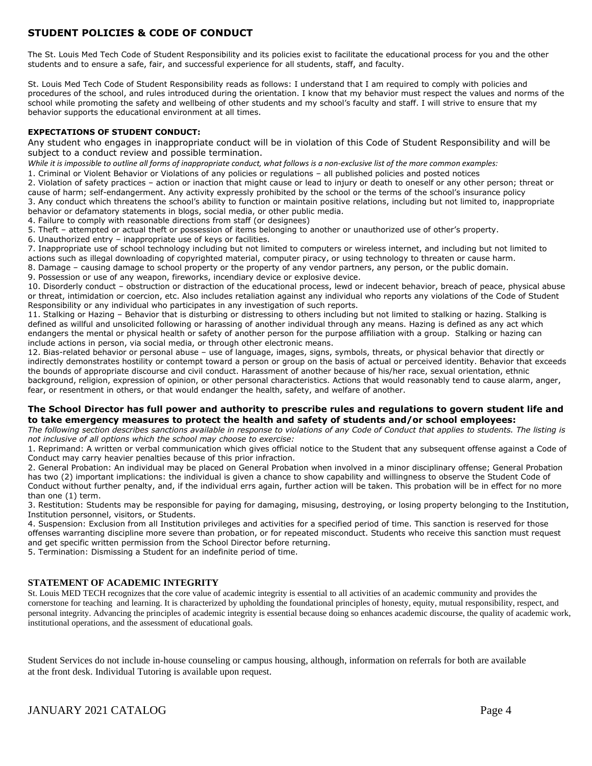### **STUDENT POLICIES & CODE OF CONDUCT**

The St. Louis Med Tech Code of Student Responsibility and its policies exist to facilitate the educational process for you and the other students and to ensure a safe, fair, and successful experience for all students, staff, and faculty.

St. Louis Med Tech Code of Student Responsibility reads as follows: I understand that I am required to comply with policies and procedures of the school, and rules introduced during the orientation. I know that my behavior must respect the values and norms of the school while promoting the safety and wellbeing of other students and my school's faculty and staff. I will strive to ensure that my behavior supports the educational environment at all times.

#### **EXPECTATIONS OF STUDENT CONDUCT:**

Any student who engages in inappropriate conduct will be in violation of this Code of Student Responsibility and will be subject to a conduct review and possible termination.

*While it is impossible to outline all forms of inappropriate conduct, what follows is a non-exclusive list of the more common examples:*

1. Criminal or Violent Behavior or Violations of any policies or regulations – all published policies and posted notices

2. Violation of safety practices – action or inaction that might cause or lead to injury or death to oneself or any other person; threat or cause of harm; self-endangerment. Any activity expressly prohibited by the school or the terms of the school's insurance policy 3. Any conduct which threatens the school's ability to function or maintain positive relations, including but not limited to, inappropriate behavior or defamatory statements in blogs, social media, or other public media.

4. Failure to comply with reasonable directions from staff (or designees)

5. Theft – attempted or actual theft or possession of items belonging to another or unauthorized use of other's property.

6. Unauthorized entry – inappropriate use of keys or facilities.

7. Inappropriate use of school technology including but not limited to computers or wireless internet, and including but not limited to actions such as illegal downloading of copyrighted material, computer piracy, or using technology to threaten or cause harm. 8. Damage – causing damage to school property or the property of any vendor partners, any person, or the public domain.

9. Possession or use of any weapon, fireworks, incendiary device or explosive device.

10. Disorderly conduct – obstruction or distraction of the educational process, lewd or indecent behavior, breach of peace, physical abuse or threat, intimidation or coercion, etc. Also includes retaliation against any individual who reports any violations of the Code of Student Responsibility or any individual who participates in any investigation of such reports.

11. Stalking or Hazing – Behavior that is disturbing or distressing to others including but not limited to stalking or hazing. Stalking is defined as willful and unsolicited following or harassing of another individual through any means. Hazing is defined as any act which endangers the mental or physical health or safety of another person for the purpose affiliation with a group. Stalking or hazing can include actions in person, via social media, or through other electronic means.

12. Bias-related behavior or personal abuse – use of language, images, signs, symbols, threats, or physical behavior that directly or indirectly demonstrates hostility or contempt toward a person or group on the basis of actual or perceived identity. Behavior that exceeds the bounds of appropriate discourse and civil conduct. Harassment of another because of his/her race, sexual orientation, ethnic background, religion, expression of opinion, or other personal characteristics. Actions that would reasonably tend to cause alarm, anger, fear, or resentment in others, or that would endanger the health, safety, and welfare of another.

#### **The School Director has full power and authority to prescribe rules and regulations to govern student life and to take emergency measures to protect the health and safety of students and/or school employees:**

*The following section describes sanctions available in response to violations of any Code of Conduct that applies to students. The listing is not inclusive of all options which the school may choose to exercise:*

1. Reprimand: A written or verbal communication which gives official notice to the Student that any subsequent offense against a Code of Conduct may carry heavier penalties because of this prior infraction.

2. General Probation: An individual may be placed on General Probation when involved in a minor disciplinary offense; General Probation has two (2) important implications: the individual is given a chance to show capability and willingness to observe the Student Code of Conduct without further penalty, and, if the individual errs again, further action will be taken. This probation will be in effect for no more than one (1) term.

3. Restitution: Students may be responsible for paying for damaging, misusing, destroying, or losing property belonging to the Institution, Institution personnel, visitors, or Students.

4. Suspension: Exclusion from all Institution privileges and activities for a specified period of time. This sanction is reserved for those offenses warranting discipline more severe than probation, or for repeated misconduct. Students who receive this sanction must request and get specific written permission from the School Director before returning.

5. Termination: Dismissing a Student for an indefinite period of time.

#### **STATEMENT OF ACADEMIC INTEGRITY**

St. Louis MED TECH recognizes that the core value of academic integrity is essential to all activities of an academic community and provides the cornerstone for teaching and learning. It is characterized by upholding the foundational principles of honesty, equity, mutual responsibility, respect, and personal integrity. Advancing the principles of academic integrity is essential because doing so enhances academic discourse, the quality of academic work, institutional operations, and the assessment of educational goals.

Student Services do not include in-house counseling or campus housing, although, information on referrals for both are available at the front desk. Individual Tutoring is available upon request.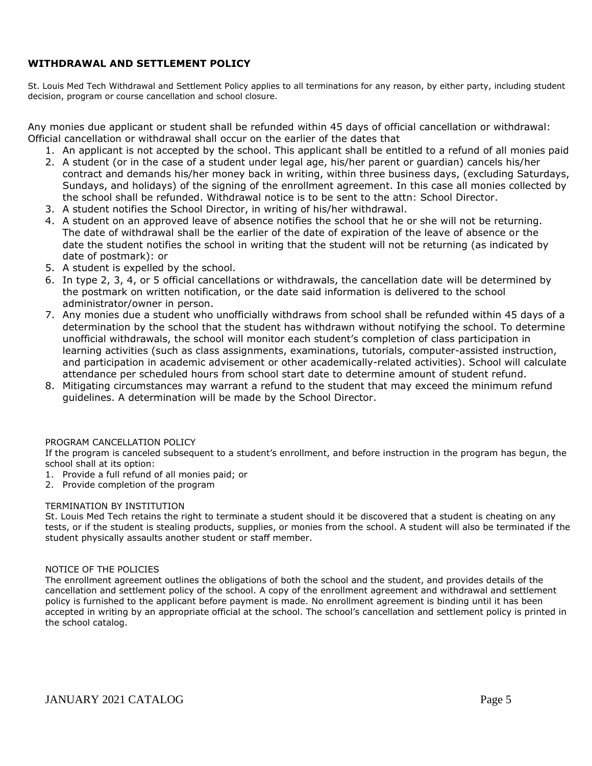### **WITHDRAWAL AND SETTLEMENT POLICY**

St. Louis Med Tech Withdrawal and Settlement Policy applies to all terminations for any reason, by either party, including student decision, program or course cancellation and school closure.

Any monies due applicant or student shall be refunded within 45 days of official cancellation or withdrawal: Official cancellation or withdrawal shall occur on the earlier of the dates that

- 1. An applicant is not accepted by the school. This applicant shall be entitled to a refund of all monies paid
- 2. A student (or in the case of a student under legal age, his/her parent or guardian) cancels his/her contract and demands his/her money back in writing, within three business days, (excluding Saturdays, Sundays, and holidays) of the signing of the enrollment agreement. In this case all monies collected by the school shall be refunded. Withdrawal notice is to be sent to the attn: School Director.
- 3. A student notifies the School Director, in writing of his/her withdrawal.
- 4. A student on an approved leave of absence notifies the school that he or she will not be returning. The date of withdrawal shall be the earlier of the date of expiration of the leave of absence or the date the student notifies the school in writing that the student will not be returning (as indicated by date of postmark): or
- 5. A student is expelled by the school.
- 6. In type 2, 3, 4, or 5 official cancellations or withdrawals, the cancellation date will be determined by the postmark on written notification, or the date said information is delivered to the school administrator/owner in person.
- 7. Any monies due a student who unofficially withdraws from school shall be refunded within 45 days of a determination by the school that the student has withdrawn without notifying the school. To determine unofficial withdrawals, the school will monitor each student's completion of class participation in learning activities (such as class assignments, examinations, tutorials, computer-assisted instruction, and participation in academic advisement or other academically-related activities). School will calculate attendance per scheduled hours from school start date to determine amount of student refund.
- 8. Mitigating circumstances may warrant a refund to the student that may exceed the minimum refund guidelines. A determination will be made by the School Director.

#### PROGRAM CANCELLATION POLICY

If the program is canceled subsequent to a student's enrollment, and before instruction in the program has begun, the school shall at its option:

- 1. Provide a full refund of all monies paid; or
- 2. Provide completion of the program

#### TERMINATION BY INSTITUTION

St. Louis Med Tech retains the right to terminate a student should it be discovered that a student is cheating on any tests, or if the student is stealing products, supplies, or monies from the school. A student will also be terminated if the student physically assaults another student or staff member.

#### NOTICE OF THE POLICIES

The enrollment agreement outlines the obligations of both the school and the student, and provides details of the cancellation and settlement policy of the school. A copy of the enrollment agreement and withdrawal and settlement policy is furnished to the applicant before payment is made. No enrollment agreement is binding until it has been accepted in writing by an appropriate official at the school. The school's cancellation and settlement policy is printed in the school catalog.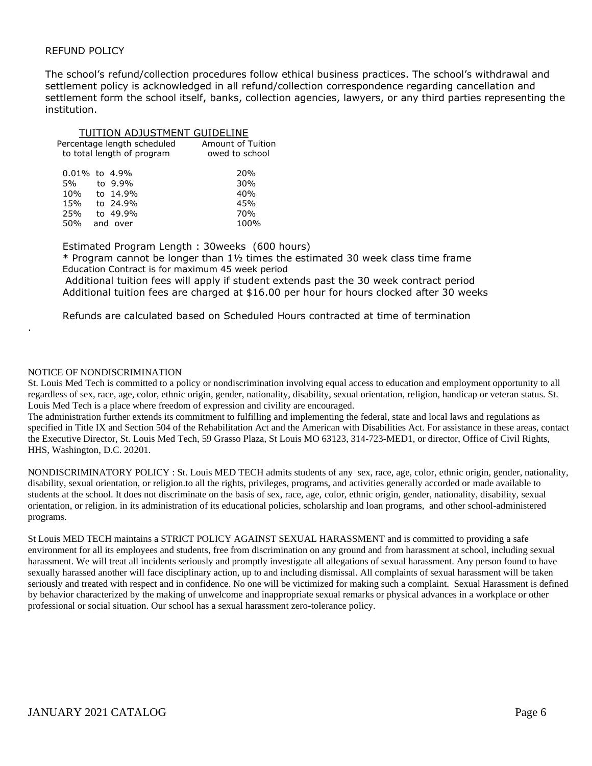### REFUND POLICY

The school's refund/collection procedures follow ethical business practices. The school's withdrawal and settlement policy is acknowledged in all refund/collection correspondence regarding cancellation and settlement form the school itself, banks, collection agencies, lawyers, or any third parties representing the institution.

#### TUITION ADJUSTMENT GUIDELINE

|     | Percentage length scheduled<br>to total length of program | Amount of Tuition<br>owed to school |
|-----|-----------------------------------------------------------|-------------------------------------|
|     | $0.01\%$ to 4.9%                                          | 20%                                 |
| 5%  | to $9.9\%$                                                | 30%                                 |
|     | 10% to 14.9%                                              | 40%                                 |
| 15% | to 24.9%                                                  | 45%                                 |
| 25% | to 49.9%                                                  | 70%                                 |
| 50% | and over                                                  | 100%                                |
|     |                                                           |                                     |

Estimated Program Length : 30weeks (600 hours)  $*$  Program cannot be longer than  $1\frac{1}{2}$  times the estimated 30 week class time frame Education Contract is for maximum 45 week period Additional tuition fees will apply if student extends past the 30 week contract period Additional tuition fees are charged at \$16.00 per hour for hours clocked after 30 weeks

Refunds are calculated based on Scheduled Hours contracted at time of termination

#### NOTICE OF NONDISCRIMINATION

.

St. Louis Med Tech is committed to a policy or nondiscrimination involving equal access to education and employment opportunity to all regardless of sex, race, age, color, ethnic origin, gender, nationality, disability, sexual orientation, religion, handicap or veteran status. St. Louis Med Tech is a place where freedom of expression and civility are encouraged.

The administration further extends its commitment to fulfilling and implementing the federal, state and local laws and regulations as specified in Title IX and Section 504 of the Rehabilitation Act and the American with Disabilities Act. For assistance in these areas, contact the Executive Director, St. Louis Med Tech, 59 Grasso Plaza, St Louis MO 63123, 314-723-MED1, or director, Office of Civil Rights, HHS, Washington, D.C. 20201.

NONDISCRIMINATORY POLICY : St. Louis MED TECH admits students of any sex, race, age, color, ethnic origin, gender, nationality, disability, sexual orientation, or religion.to all the rights, privileges, programs, and activities generally accorded or made available to students at the school. It does not discriminate on the basis of sex, race, age, color, ethnic origin, gender, nationality, disability, sexual orientation, or religion. in its administration of its educational policies, scholarship and loan programs, and other school-administered programs.

St Louis MED TECH maintains a STRICT POLICY AGAINST SEXUAL HARASSMENT and is committed to providing a safe environment for all its employees and students, free from discrimination on any ground and from harassment at school, including sexual harassment. We will treat all incidents seriously and promptly investigate all allegations of sexual harassment. Any person found to have sexually harassed another will face disciplinary action, up to and including dismissal. All complaints of sexual harassment will be taken seriously and treated with respect and in confidence. No one will be victimized for making such a complaint. Sexual Harassment is defined by behavior characterized by the making of unwelcome and inappropriate sexual remarks or physical advances in a workplace or other professional or social situation. Our school has a sexual harassment zero-tolerance policy.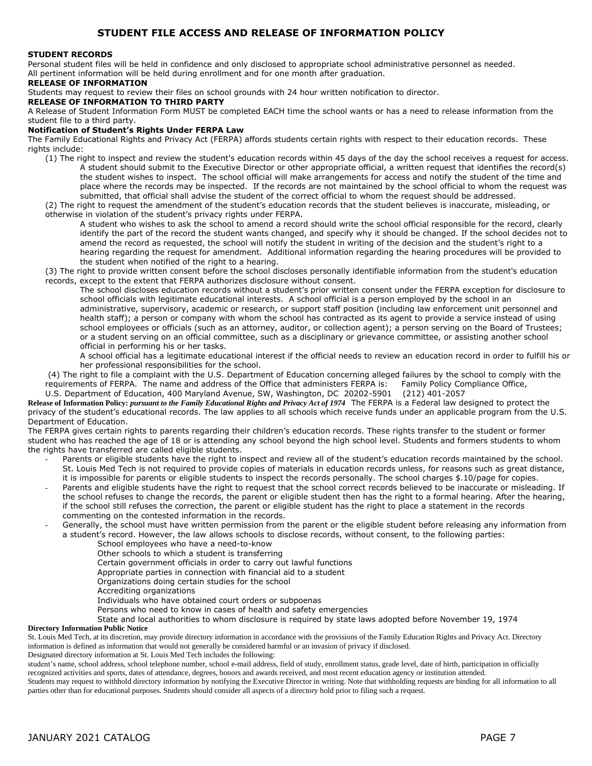### **STUDENT FILE ACCESS AND RELEASE OF INFORMATION POLICY**

#### **STUDENT RECORDS**

Personal student files will be held in confidence and only disclosed to appropriate school administrative personnel as needed. All pertinent information will be held during enrollment and for one month after graduation.

#### **RELEASE OF INFORMATION**

Students may request to review their files on school grounds with 24 hour written notification to director.

#### **RELEASE OF INFORMATION TO THIRD PARTY**

A Release of Student Information Form MUST be completed EACH time the school wants or has a need to release information from the student file to a third party.

#### **Notification of Student's Rights Under FERPA Law**

The Family Educational Rights and Privacy Act (FERPA) affords students certain rights with respect to their education records. These rights include:

(1) The right to inspect and review the student's education records within 45 days of the day the school receives a request for access. A student should submit to the Executive Director or other appropriate official, a written request that identifies the record(s) the student wishes to inspect. The school official will make arrangements for access and notify the student of the time and place where the records may be inspected. If the records are not maintained by the school official to whom the request was submitted, that official shall advise the student of the correct official to whom the request should be addressed.

(2) The right to request the amendment of the student's education records that the student believes is inaccurate, misleading, or otherwise in violation of the student's privacy rights under FERPA.

A student who wishes to ask the school to amend a record should write the school official responsible for the record, clearly identify the part of the record the student wants changed, and specify why it should be changed. If the school decides not to amend the record as requested, the school will notify the student in writing of the decision and the student's right to a hearing regarding the request for amendment. Additional information regarding the hearing procedures will be provided to the student when notified of the right to a hearing.

(3) The right to provide written consent before the school discloses personally identifiable information from the student's education records, except to the extent that FERPA authorizes disclosure without consent.

The school discloses education records without a student's prior written consent under the FERPA exception for disclosure to school officials with legitimate educational interests. A school official is a person employed by the school in an administrative, supervisory, academic or research, or support staff position (including law enforcement unit personnel and health staff); a person or company with whom the school has contracted as its agent to provide a service instead of using school employees or officials (such as an attorney, auditor, or collection agent); a person serving on the Board of Trustees; or a student serving on an official committee, such as a disciplinary or grievance committee, or assisting another school official in performing his or her tasks.

A school official has a legitimate educational interest if the official needs to review an education record in order to fulfill his or her professional responsibilities for the school.

(4) The right to file a complaint with the U.S. Department of Education concerning alleged failures by the school to comply with the requirements of FERPA. The name and address of the Office that administers FERPA is: Family Policy Compliance Office,<br>U.S. Department of Education, 400 Maryland Avenue, SW, Washington, DC 20202-5901 (212) 401-2057 U.S. Department of Education, 400 Maryland Avenue, SW, Washington, DC 20202-5901

**Release of Information Policy:** *pursuant to the Family Educational Rights and Privacy Act of 1974* The FERPA is a Federal law designed to protect the privacy of the student's educational records. The law applies to all schools which receive funds under an applicable program from the U.S. Department of Education.

The FERPA gives certain rights to parents regarding their children's education records. These rights transfer to the student or former student who has reached the age of 18 or is attending any school beyond the high school level. Students and formers students to whom the rights have transferred are called eligible students.

- Parents or eligible students have the right to inspect and review all of the student's education records maintained by the school. St. Louis Med Tech is not required to provide copies of materials in education records unless, for reasons such as great distance, it is impossible for parents or eligible students to inspect the records personally. The school charges \$.10/page for copies.
- Parents and eligible students have the right to request that the school correct records believed to be inaccurate or misleading. If the school refuses to change the records, the parent or eligible student then has the right to a formal hearing. After the hearing, if the school still refuses the correction, the parent or eligible student has the right to place a statement in the records commenting on the contested information in the records.
- Generally, the school must have written permission from the parent or the eligible student before releasing any information from a student's record. However, the law allows schools to disclose records, without consent, to the following parties:
	- School employees who have a need-to-know
		- Other schools to which a student is transferring

Certain government officials in order to carry out lawful functions

- Appropriate parties in connection with financial aid to a student
- Organizations doing certain studies for the school
- Accrediting organizations

Individuals who have obtained court orders or subpoenas

Persons who need to know in cases of health and safety emergencies

State and local authorities to whom disclosure is required by state laws adopted before November 19, 1974

#### **Directory Information Public Notice**

St. Louis Med Tech, at its discretion, may provide directory information in accordance with the provisions of the Family Education Rights and Privacy Act. Directory information is defined as information that would not generally be considered harmful or an invasion of privacy if disclosed.

Designated directory information at St. Louis Med Tech includes the following:

student's name, school address, school telephone number, school e-mail address, field of study, enrollment status, grade level, date of birth, participation in officially recognized activities and sports, dates of attendance, degrees, honors and awards received, and most recent education agency or institution attended.

Students may request to withhold directory information by notifying the Executive Director in writing. Note that withholding requests are binding for all information to all parties other than for educational purposes. Students should consider all aspects of a directory hold prior to filing such a request.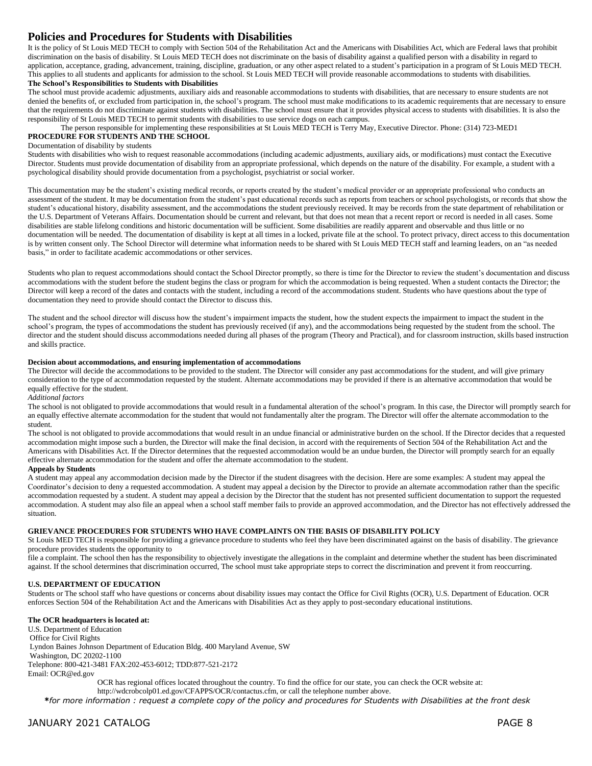### **Policies and Procedures for Students with Disabilities**

It is the policy of St Louis MED TECH to comply with Section 504 of the Rehabilitation Act and the Americans with Disabilities Act, which are Federal laws that prohibit discrimination on the basis of disability. St Louis MED TECH does not discriminate on the basis of disability against a qualified person with a disability in regard to application, acceptance, grading, advancement, training, discipline, graduation, or any other aspect related to a student's participation in a program of St Louis MED TECH. This applies to all students and applicants for admission to the school. St Louis MED TECH will provide reasonable accommodations to students with disabilities.

#### **The School's Responsibilities to Students with Disabilities**

The school must provide academic adjustments, auxiliary aids and reasonable accommodations to students with disabilities, that are necessary to ensure students are not denied the benefits of, or excluded from participation in, the school's program. The school must make modifications to its academic requirements that are necessary to ensure that the requirements do not discriminate against students with disabilities. The school must ensure that it provides physical access to students with disabilities. It is also the responsibility of St Louis MED TECH to permit students with disabilities to use service dogs on each campus.

The person responsible for implementing these responsibilities at St Louis MED TECH is Terry May, Executive Director. Phone: (314) 723-MED1

#### **PROCEDURE FOR STUDENTS AND THE SCHOOL**

#### Documentation of disability by students

Students with disabilities who wish to request reasonable accommodations (including academic adjustments, auxiliary aids, or modifications) must contact the Executive Director. Students must provide documentation of disability from an appropriate professional, which depends on the nature of the disability. For example, a student with a psychological disability should provide documentation from a psychologist, psychiatrist or social worker.

This documentation may be the student's existing medical records, or reports created by the student's medical provider or an appropriate professional who conducts an assessment of the student. It may be documentation from the student's past educational records such as reports from teachers or school psychologists, or records that show the student's educational history, disability assessment, and the accommodations the student previously received. It may be records from the state department of rehabilitation or the U.S. Department of Veterans Affairs. Documentation should be current and relevant, but that does not mean that a recent report or record is needed in all cases. Some disabilities are stable lifelong conditions and historic documentation will be sufficient. Some disabilities are readily apparent and observable and thus little or no documentation will be needed. The documentation of disability is kept at all times in a locked, private file at the school. To protect privacy, direct access to this documentation is by written consent only. The School Director will determine what information needs to be shared with St Louis MED TECH staff and learning leaders, on an "as needed basis," in order to facilitate academic accommodations or other services.

Students who plan to request accommodations should contact the School Director promptly, so there is time for the Director to review the student's documentation and discuss accommodations with the student before the student begins the class or program for which the accommodation is being requested. When a student contacts the Director; the Director will keep a record of the dates and contacts with the student, including a record of the accommodations student. Students who have questions about the type of documentation they need to provide should contact the Director to discuss this.

The student and the school director will discuss how the student's impairment impacts the student, how the student expects the impairment to impact the student in the school's program, the types of accommodations the student has previously received (if any), and the accommodations being requested by the student from the school. The director and the student should discuss accommodations needed during all phases of the program (Theory and Practical), and for classroom instruction, skills based instruction and skills practice.

#### **Decision about accommodations, and ensuring implementation of accommodations**

The Director will decide the accommodations to be provided to the student. The Director will consider any past accommodations for the student, and will give primary consideration to the type of accommodation requested by the student. Alternate accommodations may be provided if there is an alternative accommodation that would be equally effective for the student.

#### *Additional factors*

The school is not obligated to provide accommodations that would result in a fundamental alteration of the school's program. In this case, the Director will promptly search for an equally effective alternate accommodation for the student that would not fundamentally alter the program. The Director will offer the alternate accommodation to the student.

The school is not obligated to provide accommodations that would result in an undue financial or administrative burden on the school. If the Director decides that a requested accommodation might impose such a burden, the Director will make the final decision, in accord with the requirements of Section 504 of the Rehabilitation Act and the Americans with Disabilities Act. If the Director determines that the requested accommodation would be an undue burden, the Director will promptly search for an equally effective alternate accommodation for the student and offer the alternate accommodation to the student.

#### **Appeals by Students**

A student may appeal any accommodation decision made by the Director if the student disagrees with the decision. Here are some examples: A student may appeal the Coordinator's decision to deny a requested accommodation. A student may appeal a decision by the Director to provide an alternate accommodation rather than the specific accommodation requested by a student. A student may appeal a decision by the Director that the student has not presented sufficient documentation to support the requested accommodation. A student may also file an appeal when a school staff member fails to provide an approved accommodation, and the Director has not effectively addressed the situation.

#### **GRIEVANCE PROCEDURES FOR STUDENTS WHO HAVE COMPLAINTS ON THE BASIS OF DISABILITY POLICY**

St Louis MED TECH is responsible for providing a grievance procedure to students who feel they have been discriminated against on the basis of disability. The grievance procedure provides students the opportunity to

file a complaint. The school then has the responsibility to objectively investigate the allegations in the complaint and determine whether the student has been discriminated against. If the school determines that discrimination occurred, The school must take appropriate steps to correct the discrimination and prevent it from reoccurring.

#### **U.S. DEPARTMENT OF EDUCATION**

Students or The school staff who have questions or concerns about disability issues may contact the Office for Civil Rights (OCR), U.S. Department of Education. OCR enforces Section 504 of the Rehabilitation Act and the Americans with Disabilities Act as they apply to post-secondary educational institutions.

#### **The OCR headquarters is located at:**

U.S. Department of Education Office for Civil Rights Lyndon Baines Johnson Department of Education Bldg. 400 Maryland Avenue, SW Washington, DC 20202-1100 Telephone: 800-421-3481 FAX:202-453-6012; TDD:877-521-2172 Email: OCR@ed.gov OCR has regional offices located throughout the country. To find the office for our state, you can check the OCR website at:

http://wdcrobcolp01.ed.gov/CFAPPS/OCR/contactus.cfm, or call the telephone number above.

 *\*for more information : request a complete copy of the policy and procedures for Students with Disabilities at the front desk*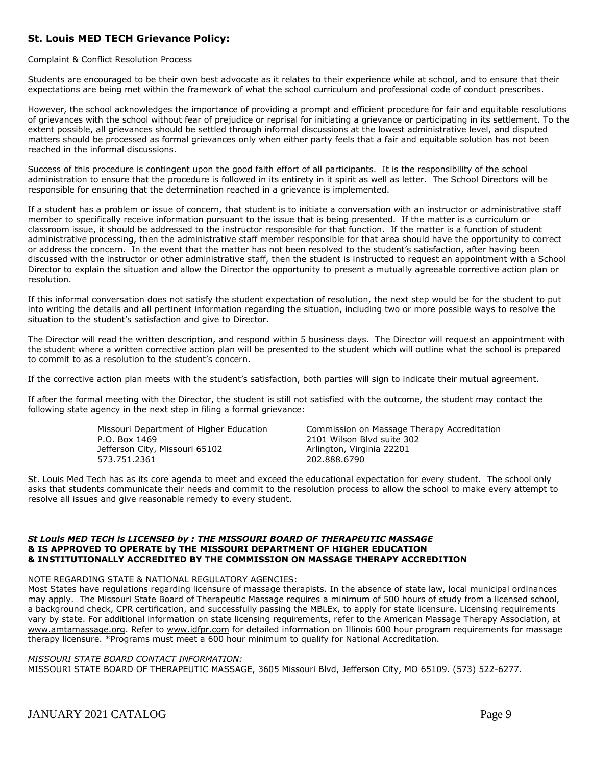### **St. Louis MED TECH Grievance Policy:**

#### Complaint & Conflict Resolution Process

Students are encouraged to be their own best advocate as it relates to their experience while at school, and to ensure that their expectations are being met within the framework of what the school curriculum and professional code of conduct prescribes.

However, the school acknowledges the importance of providing a prompt and efficient procedure for fair and equitable resolutions of grievances with the school without fear of prejudice or reprisal for initiating a grievance or participating in its settlement. To the extent possible, all grievances should be settled through informal discussions at the lowest administrative level, and disputed matters should be processed as formal grievances only when either party feels that a fair and equitable solution has not been reached in the informal discussions.

Success of this procedure is contingent upon the good faith effort of all participants. It is the responsibility of the school administration to ensure that the procedure is followed in its entirety in it spirit as well as letter. The School Directors will be responsible for ensuring that the determination reached in a grievance is implemented.

If a student has a problem or issue of concern, that student is to initiate a conversation with an instructor or administrative staff member to specifically receive information pursuant to the issue that is being presented. If the matter is a curriculum or classroom issue, it should be addressed to the instructor responsible for that function. If the matter is a function of student administrative processing, then the administrative staff member responsible for that area should have the opportunity to correct or address the concern. In the event that the matter has not been resolved to the student's satisfaction, after having been discussed with the instructor or other administrative staff, then the student is instructed to request an appointment with a School Director to explain the situation and allow the Director the opportunity to present a mutually agreeable corrective action plan or resolution.

If this informal conversation does not satisfy the student expectation of resolution, the next step would be for the student to put into writing the details and all pertinent information regarding the situation, including two or more possible ways to resolve the situation to the student's satisfaction and give to Director.

The Director will read the written description, and respond within 5 business days. The Director will request an appointment with the student where a written corrective action plan will be presented to the student which will outline what the school is prepared to commit to as a resolution to the student's concern.

If the corrective action plan meets with the student's satisfaction, both parties will sign to indicate their mutual agreement.

If after the formal meeting with the Director, the student is still not satisfied with the outcome, the student may contact the following state agency in the next step in filing a formal grievance:

> P.O. Box 1469 2101 Wilson Blvd suite 302 Jefferson City, Missouri 65102 **Arlington, Virginia 22201** 573.751.2361 202.888.6790

Missouri Department of Higher Education Commission on Massage Therapy Accreditation

St. Louis Med Tech has as its core agenda to meet and exceed the educational expectation for every student. The school only asks that students communicate their needs and commit to the resolution process to allow the school to make every attempt to resolve all issues and give reasonable remedy to every student.

#### *St Louis MED TECH is LICENSED by : THE MISSOURI BOARD OF THERAPEUTIC MASSAGE* **& IS APPROVED TO OPERATE by THE MISSOURI DEPARTMENT OF HIGHER EDUCATION & INSTITUTIONALLY ACCREDITED BY THE COMMISSION ON MASSAGE THERAPY ACCREDITION**

#### NOTE REGARDING STATE & NATIONAL REGULATORY AGENCIES:

Most States have regulations regarding licensure of massage therapists. In the absence of state law, local municipal ordinances may apply. The Missouri State Board of Therapeutic Massage requires a minimum of 500 hours of study from a licensed school, a background check, CPR certification, and successfully passing the MBLEx, to apply for state licensure. Licensing requirements vary by state. For additional information on state licensing requirements, refer to the American Massage Therapy Association, at [www.amtamassage.org.](http://www.amtamassage.org/) Refer to [www.idfpr.com](http://www.idfpr.com/) for detailed information on Illinois 600 hour program requirements for massage therapy licensure. \*Programs must meet a 600 hour minimum to qualify for National Accreditation.

#### *MISSOURI STATE BOARD CONTACT INFORMATION:*

MISSOURI STATE BOARD OF THERAPEUTIC MASSAGE, 3605 Missouri Blvd, Jefferson City, MO 65109. (573) 522-6277.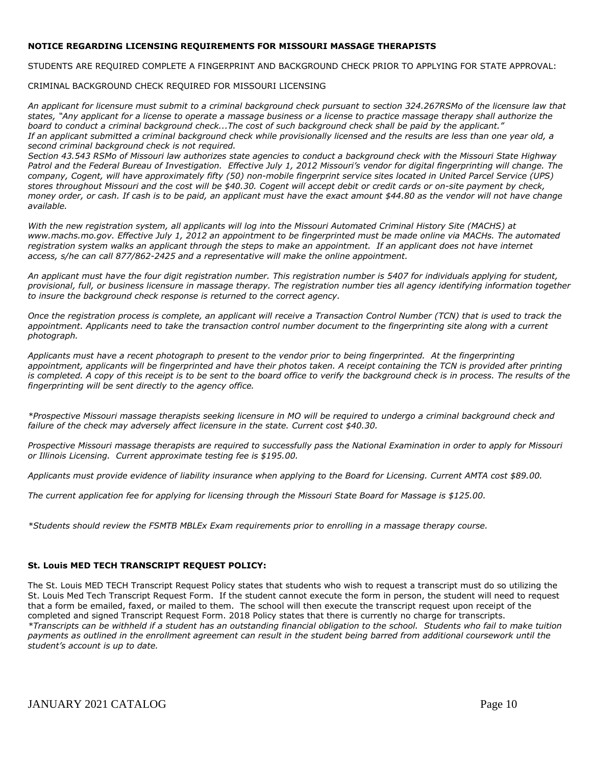#### **NOTICE REGARDING LICENSING REQUIREMENTS FOR MISSOURI MASSAGE THERAPISTS**

STUDENTS ARE REQUIRED COMPLETE A FINGERPRINT AND BACKGROUND CHECK PRIOR TO APPLYING FOR STATE APPROVAL:

CRIMINAL BACKGROUND CHECK REQUIRED FOR MISSOURI LICENSING

*An applicant for licensure must submit to a criminal background check pursuant to section 324.267RSMo of the licensure law that states, "Any applicant for a license to operate a massage business or a license to practice massage therapy shall authorize the board to conduct a criminal background check...The cost of such background check shall be paid by the applicant." If an applicant submitted a criminal background check while provisionally licensed and the results are less than one year old, a second criminal background check is not required.* 

*Section 43.543 RSMo of Missouri law authorizes state agencies to conduct a background check with the Missouri State Highway Patrol and the Federal Bureau of Investigation. Effective July 1, 2012 Missouri's vendor for digital fingerprinting will change. The company, Cogent, will have approximately fifty (50) non-mobile fingerprint service sites located in United Parcel Service (UPS) stores throughout Missouri and the cost will be \$40.30. Cogent will accept debit or credit cards or on-site payment by check, money order, or cash. If cash is to be paid, an applicant must have the exact amount \$44.80 as the vendor will not have change available.* 

*With the new registration system, all applicants will log into the Missouri Automated Criminal History Site (MACHS) at www.machs.mo.gov. Effective July 1, 2012 an appointment to be fingerprinted must be made online via MACHs. The automated registration system walks an applicant through the steps to make an appointment. If an applicant does not have internet access, s/he can call 877/862-2425 and a representative will make the online appointment.* 

*An applicant must have the four digit registration number. This registration number is 5407 for individuals applying for student, provisional, full, or business licensure in massage therapy. The registration number ties all agency identifying information together to insure the background check response is returned to the correct agency.* 

*Once the registration process is complete, an applicant will receive a Transaction Control Number (TCN) that is used to track the*  appointment. Applicants need to take the transaction control number document to the fingerprinting site along with a current *photograph.* 

*Applicants must have a recent photograph to present to the vendor prior to being fingerprinted. At the fingerprinting appointment, applicants will be fingerprinted and have their photos taken. A receipt containing the TCN is provided after printing is completed. A copy of this receipt is to be sent to the board office to verify the background check is in process. The results of the fingerprinting will be sent directly to the agency office.*

*\*Prospective Missouri massage therapists seeking licensure in MO will be required to undergo a criminal background check and failure of the check may adversely affect licensure in the state. Current cost \$40.30.*

*Prospective Missouri massage therapists are required to successfully pass the National Examination in order to apply for Missouri or Illinois Licensing. Current approximate testing fee is \$195.00.*

*Applicants must provide evidence of liability insurance when applying to the Board for Licensing. Current AMTA cost \$89.00.*

*The current application fee for applying for licensing through the Missouri State Board for Massage is \$125.00.*

*\*Students should review the FSMTB MBLEx Exam requirements prior to enrolling in a massage therapy course.* 

#### **St. Louis MED TECH TRANSCRIPT REQUEST POLICY:**

The St. Louis MED TECH Transcript Request Policy states that students who wish to request a transcript must do so utilizing the St. Louis Med Tech Transcript Request Form. If the student cannot execute the form in person, the student will need to request that a form be emailed, faxed, or mailed to them. The school will then execute the transcript request upon receipt of the completed and signed Transcript Request Form. 2018 Policy states that there is currently no charge for transcripts. *\*Transcripts can be withheld if a student has an outstanding financial obligation to the school. Students who fail to make tuition payments as outlined in the enrollment agreement can result in the student being barred from additional coursework until the student's account is up to date.*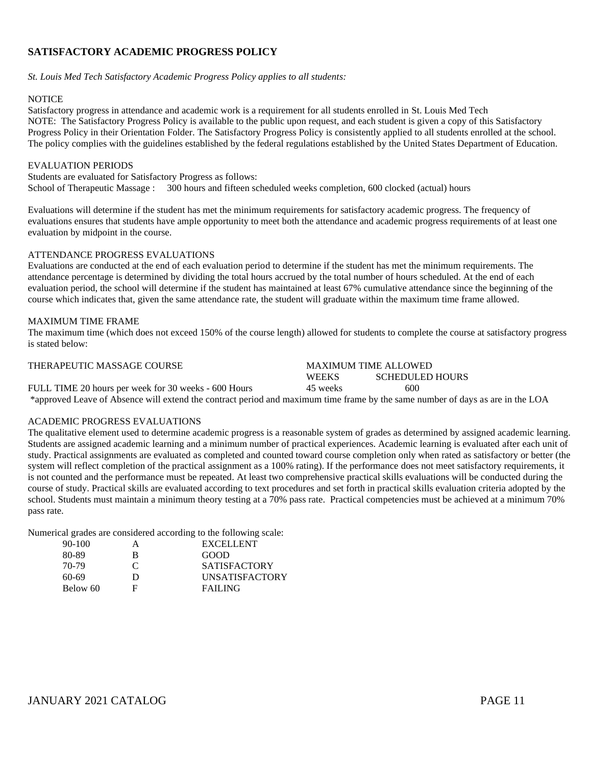### **SATISFACTORY ACADEMIC PROGRESS POLICY**

*St. Louis Med Tech Satisfactory Academic Progress Policy applies to all students:*

#### **NOTICE**

Satisfactory progress in attendance and academic work is a requirement for all students enrolled in St. Louis Med Tech NOTE: The Satisfactory Progress Policy is available to the public upon request, and each student is given a copy of this Satisfactory Progress Policy in their Orientation Folder. The Satisfactory Progress Policy is consistently applied to all students enrolled at the school. The policy complies with the guidelines established by the federal regulations established by the United States Department of Education.

#### EVALUATION PERIODS

Students are evaluated for Satisfactory Progress as follows: School of Therapeutic Massage : 300 hours and fifteen scheduled weeks completion, 600 clocked (actual) hours

Evaluations will determine if the student has met the minimum requirements for satisfactory academic progress. The frequency of evaluations ensures that students have ample opportunity to meet both the attendance and academic progress requirements of at least one evaluation by midpoint in the course.

#### ATTENDANCE PROGRESS EVALUATIONS

Evaluations are conducted at the end of each evaluation period to determine if the student has met the minimum requirements. The attendance percentage is determined by dividing the total hours accrued by the total number of hours scheduled. At the end of each evaluation period, the school will determine if the student has maintained at least 67% cumulative attendance since the beginning of the course which indicates that, given the same attendance rate, the student will graduate within the maximum time frame allowed.

#### MAXIMUM TIME FRAME

The maximum time (which does not exceed 150% of the course length) allowed for students to complete the course at satisfactory progress is stated below:

| THERAPEUTIC MASSAGE COURSE                                                                                                     | <b>MAXIMUM TIME ALLOWED</b> |                        |  |  |
|--------------------------------------------------------------------------------------------------------------------------------|-----------------------------|------------------------|--|--|
|                                                                                                                                | <b>WEEKS</b>                | <b>SCHEDULED HOURS</b> |  |  |
| FULL TIME 20 hours per week for 30 weeks - 600 Hours                                                                           | 45 weeks                    | 600                    |  |  |
| *approved Leave of Absence will extend the contract period and maximum time frame by the same number of days as are in the LOA |                             |                        |  |  |

#### ACADEMIC PROGRESS EVALUATIONS

The qualitative element used to determine academic progress is a reasonable system of grades as determined by assigned academic learning. Students are assigned academic learning and a minimum number of practical experiences. Academic learning is evaluated after each unit of study. Practical assignments are evaluated as completed and counted toward course completion only when rated as satisfactory or better (the system will reflect completion of the practical assignment as a 100% rating). If the performance does not meet satisfactory requirements, it is not counted and the performance must be repeated. At least two comprehensive practical skills evaluations will be conducted during the course of study. Practical skills are evaluated according to text procedures and set forth in practical skills evaluation criteria adopted by the school. Students must maintain a minimum theory testing at a 70% pass rate. Practical competencies must be achieved at a minimum 70% pass rate.

Numerical grades are considered according to the following scale:

| $90 - 100$ |              | <b>EXCELLENT</b>      |
|------------|--------------|-----------------------|
| 80-89      |              | GOOD                  |
| 70-79      | $\mathbf{C}$ | <b>SATISFACTORY</b>   |
| 60-69      | ו ו          | <b>UNSATISFACTORY</b> |
| Below 60   | ы            | <b>FAILING</b>        |

### JANUARY 2021 CATALOG PAGE 11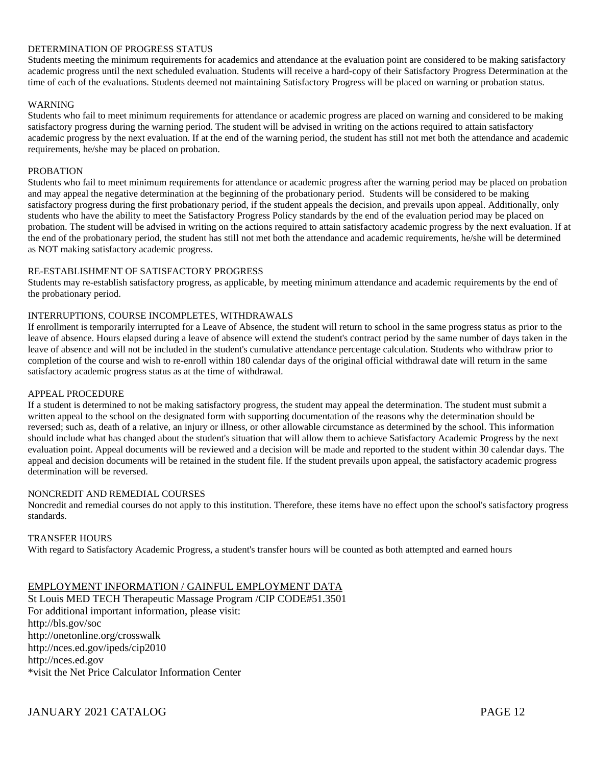#### DETERMINATION OF PROGRESS STATUS

Students meeting the minimum requirements for academics and attendance at the evaluation point are considered to be making satisfactory academic progress until the next scheduled evaluation. Students will receive a hard-copy of their Satisfactory Progress Determination at the time of each of the evaluations. Students deemed not maintaining Satisfactory Progress will be placed on warning or probation status.

#### WARNING

Students who fail to meet minimum requirements for attendance or academic progress are placed on warning and considered to be making satisfactory progress during the warning period. The student will be advised in writing on the actions required to attain satisfactory academic progress by the next evaluation. If at the end of the warning period, the student has still not met both the attendance and academic requirements, he/she may be placed on probation.

#### PROBATION

Students who fail to meet minimum requirements for attendance or academic progress after the warning period may be placed on probation and may appeal the negative determination at the beginning of the probationary period. Students will be considered to be making satisfactory progress during the first probationary period, if the student appeals the decision, and prevails upon appeal. Additionally, only students who have the ability to meet the Satisfactory Progress Policy standards by the end of the evaluation period may be placed on probation. The student will be advised in writing on the actions required to attain satisfactory academic progress by the next evaluation. If at the end of the probationary period, the student has still not met both the attendance and academic requirements, he/she will be determined as NOT making satisfactory academic progress.

#### RE-ESTABLISHMENT OF SATISFACTORY PROGRESS

Students may re-establish satisfactory progress, as applicable, by meeting minimum attendance and academic requirements by the end of the probationary period.

#### INTERRUPTIONS, COURSE INCOMPLETES, WITHDRAWALS

If enrollment is temporarily interrupted for a Leave of Absence, the student will return to school in the same progress status as prior to the leave of absence. Hours elapsed during a leave of absence will extend the student's contract period by the same number of days taken in the leave of absence and will not be included in the student's cumulative attendance percentage calculation. Students who withdraw prior to completion of the course and wish to re-enroll within 180 calendar days of the original official withdrawal date will return in the same satisfactory academic progress status as at the time of withdrawal.

#### APPEAL PROCEDURE

If a student is determined to not be making satisfactory progress, the student may appeal the determination. The student must submit a written appeal to the school on the designated form with supporting documentation of the reasons why the determination should be reversed; such as, death of a relative, an injury or illness, or other allowable circumstance as determined by the school. This information should include what has changed about the student's situation that will allow them to achieve Satisfactory Academic Progress by the next evaluation point. Appeal documents will be reviewed and a decision will be made and reported to the student within 30 calendar days. The appeal and decision documents will be retained in the student file. If the student prevails upon appeal, the satisfactory academic progress determination will be reversed.

#### NONCREDIT AND REMEDIAL COURSES

Noncredit and remedial courses do not apply to this institution. Therefore, these items have no effect upon the school's satisfactory progress standards.

#### TRANSFER HOURS

With regard to Satisfactory Academic Progress, a student's transfer hours will be counted as both attempted and earned hours

### EMPLOYMENT INFORMATION / GAINFUL EMPLOYMENT DATA

St Louis MED TECH Therapeutic Massage Program /CIP CODE#51.3501 For additional important information, please visit: http://bls.gov/soc http://onetonline.org/crosswalk http://nces.ed.gov/ipeds/cip2010 http://nces.ed.gov \*visit the Net Price Calculator Information Center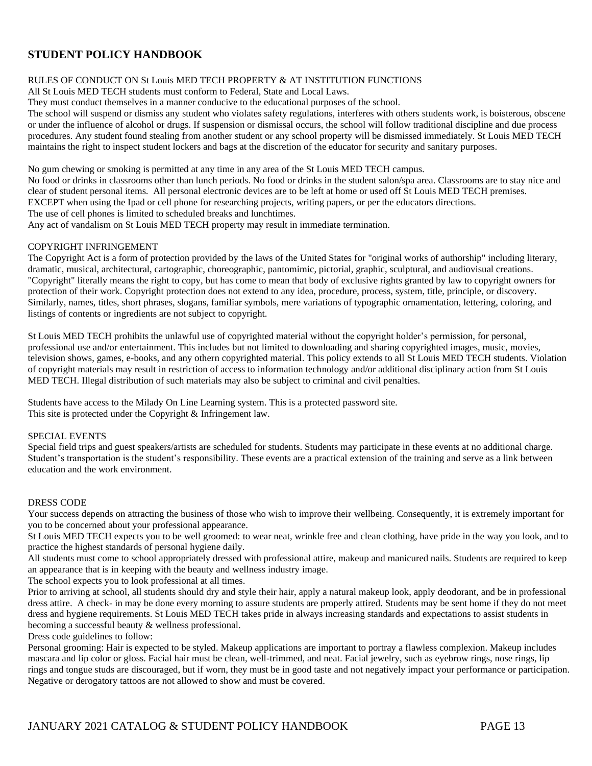### **STUDENT POLICY HANDBOOK**

#### RULES OF CONDUCT ON St Louis MED TECH PROPERTY & AT INSTITUTION FUNCTIONS

All St Louis MED TECH students must conform to Federal, State and Local Laws.

They must conduct themselves in a manner conducive to the educational purposes of the school.

The school will suspend or dismiss any student who violates safety regulations, interferes with others students work, is boisterous, obscene or under the influence of alcohol or drugs. If suspension or dismissal occurs, the school will follow traditional discipline and due process procedures. Any student found stealing from another student or any school property will be dismissed immediately. St Louis MED TECH maintains the right to inspect student lockers and bags at the discretion of the educator for security and sanitary purposes.

No gum chewing or smoking is permitted at any time in any area of the St Louis MED TECH campus.

No food or drinks in classrooms other than lunch periods. No food or drinks in the student salon/spa area. Classrooms are to stay nice and clear of student personal items. All personal electronic devices are to be left at home or used off St Louis MED TECH premises. EXCEPT when using the Ipad or cell phone for researching projects, writing papers, or per the educators directions. The use of cell phones is limited to scheduled breaks and lunchtimes.

Any act of vandalism on St Louis MED TECH property may result in immediate termination.

#### COPYRIGHT INFRINGEMENT

The Copyright Act is a form of protection provided by the laws of the United States for "original works of authorship" including literary, dramatic, musical, architectural, cartographic, choreographic, pantomimic, pictorial, graphic, sculptural, and audiovisual creations. "Copyright" literally means the right to copy, but has come to mean that body of exclusive rights granted by law to copyright owners for protection of their work. Copyright protection does not extend to any idea, procedure, process, system, title, principle, or discovery. Similarly, names, titles, short phrases, slogans, familiar symbols, mere variations of typographic ornamentation, lettering, coloring, and listings of contents or ingredients are not subject to copyright.

St Louis MED TECH prohibits the unlawful use of copyrighted material without the copyright holder's permission, for personal, professional use and/or entertainment. This includes but not limited to downloading and sharing copyrighted images, music, movies, television shows, games, e-books, and any othern copyrighted material. This policy extends to all St Louis MED TECH students. Violation of copyright materials may result in restriction of access to information technology and/or additional disciplinary action from St Louis MED TECH. Illegal distribution of such materials may also be subject to criminal and civil penalties.

Students have access to the Milady On Line Learning system. This is a protected password site. This site is protected under the Copyright & Infringement law.

#### SPECIAL EVENTS

Special field trips and guest speakers/artists are scheduled for students. Students may participate in these events at no additional charge. Student's transportation is the student's responsibility. These events are a practical extension of the training and serve as a link between education and the work environment.

#### DRESS CODE

Your success depends on attracting the business of those who wish to improve their wellbeing. Consequently, it is extremely important for you to be concerned about your professional appearance.

St Louis MED TECH expects you to be well groomed: to wear neat, wrinkle free and clean clothing, have pride in the way you look, and to practice the highest standards of personal hygiene daily.

All students must come to school appropriately dressed with professional attire, makeup and manicured nails. Students are required to keep an appearance that is in keeping with the beauty and wellness industry image.

The school expects you to look professional at all times.

Prior to arriving at school, all students should dry and style their hair, apply a natural makeup look, apply deodorant, and be in professional dress attire. A check- in may be done every morning to assure students are properly attired. Students may be sent home if they do not meet dress and hygiene requirements. St Louis MED TECH takes pride in always increasing standards and expectations to assist students in becoming a successful beauty & wellness professional.

Dress code guidelines to follow:

Personal grooming: Hair is expected to be styled. Makeup applications are important to portray a flawless complexion. Makeup includes mascara and lip color or gloss. Facial hair must be clean, well-trimmed, and neat. Facial jewelry, such as eyebrow rings, nose rings, lip rings and tongue studs are discouraged, but if worn, they must be in good taste and not negatively impact your performance or participation. Negative or derogatory tattoos are not allowed to show and must be covered.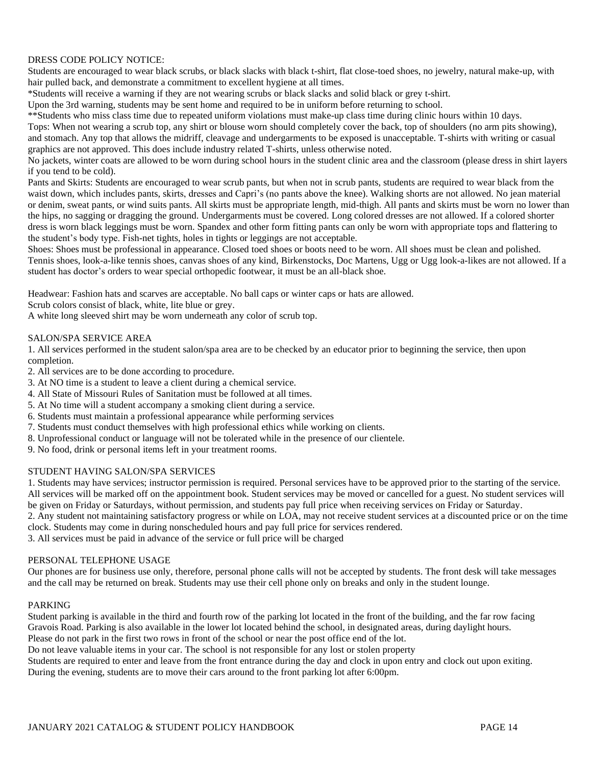#### DRESS CODE POLICY NOTICE:

Students are encouraged to wear black scrubs, or black slacks with black t-shirt, flat close-toed shoes, no jewelry, natural make-up, with hair pulled back, and demonstrate a commitment to excellent hygiene at all times.

\*Students will receive a warning if they are not wearing scrubs or black slacks and solid black or grey t-shirt.

Upon the 3rd warning, students may be sent home and required to be in uniform before returning to school.

\*\*Students who miss class time due to repeated uniform violations must make-up class time during clinic hours within 10 days.

Tops: When not wearing a scrub top, any shirt or blouse worn should completely cover the back, top of shoulders (no arm pits showing), and stomach. Any top that allows the midriff, cleavage and undergarments to be exposed is unacceptable. T-shirts with writing or casual graphics are not approved. This does include industry related T-shirts, unless otherwise noted.

No jackets, winter coats are allowed to be worn during school hours in the student clinic area and the classroom (please dress in shirt layers if you tend to be cold).

Pants and Skirts: Students are encouraged to wear scrub pants, but when not in scrub pants, students are required to wear black from the waist down, which includes pants, skirts, dresses and Capri's (no pants above the knee). Walking shorts are not allowed. No jean material or denim, sweat pants, or wind suits pants. All skirts must be appropriate length, mid-thigh. All pants and skirts must be worn no lower than the hips, no sagging or dragging the ground. Undergarments must be covered. Long colored dresses are not allowed. If a colored shorter dress is worn black leggings must be worn. Spandex and other form fitting pants can only be worn with appropriate tops and flattering to the student's body type. Fish-net tights, holes in tights or leggings are not acceptable.

Shoes: Shoes must be professional in appearance. Closed toed shoes or boots need to be worn. All shoes must be clean and polished. Tennis shoes, look-a-like tennis shoes, canvas shoes of any kind, Birkenstocks, Doc Martens, Ugg or Ugg look-a-likes are not allowed. If a student has doctor's orders to wear special orthopedic footwear, it must be an all-black shoe.

Headwear: Fashion hats and scarves are acceptable. No ball caps or winter caps or hats are allowed.

Scrub colors consist of black, white, lite blue or grey.

A white long sleeved shirt may be worn underneath any color of scrub top.

#### SALON/SPA SERVICE AREA

1. All services performed in the student salon/spa area are to be checked by an educator prior to beginning the service, then upon completion.

- 2. All services are to be done according to procedure.
- 3. At NO time is a student to leave a client during a chemical service.
- 4. All State of Missouri Rules of Sanitation must be followed at all times.
- 5. At No time will a student accompany a smoking client during a service.
- 6. Students must maintain a professional appearance while performing services
- 7. Students must conduct themselves with high professional ethics while working on clients.
- 8. Unprofessional conduct or language will not be tolerated while in the presence of our clientele.
- 9. No food, drink or personal items left in your treatment rooms.

#### STUDENT HAVING SALON/SPA SERVICES

1. Students may have services; instructor permission is required. Personal services have to be approved prior to the starting of the service. All services will be marked off on the appointment book. Student services may be moved or cancelled for a guest. No student services will be given on Friday or Saturdays, without permission, and students pay full price when receiving services on Friday or Saturday.

2. Any student not maintaining satisfactory progress or while on LOA, may not receive student services at a discounted price or on the time clock. Students may come in during nonscheduled hours and pay full price for services rendered.

3. All services must be paid in advance of the service or full price will be charged

#### PERSONAL TELEPHONE USAGE

Our phones are for business use only, therefore, personal phone calls will not be accepted by students. The front desk will take messages and the call may be returned on break. Students may use their cell phone only on breaks and only in the student lounge.

#### PARKING

Student parking is available in the third and fourth row of the parking lot located in the front of the building, and the far row facing Gravois Road. Parking is also available in the lower lot located behind the school, in designated areas, during daylight hours.

Please do not park in the first two rows in front of the school or near the post office end of the lot.

Do not leave valuable items in your car. The school is not responsible for any lost or stolen property

Students are required to enter and leave from the front entrance during the day and clock in upon entry and clock out upon exiting. During the evening, students are to move their cars around to the front parking lot after 6:00pm.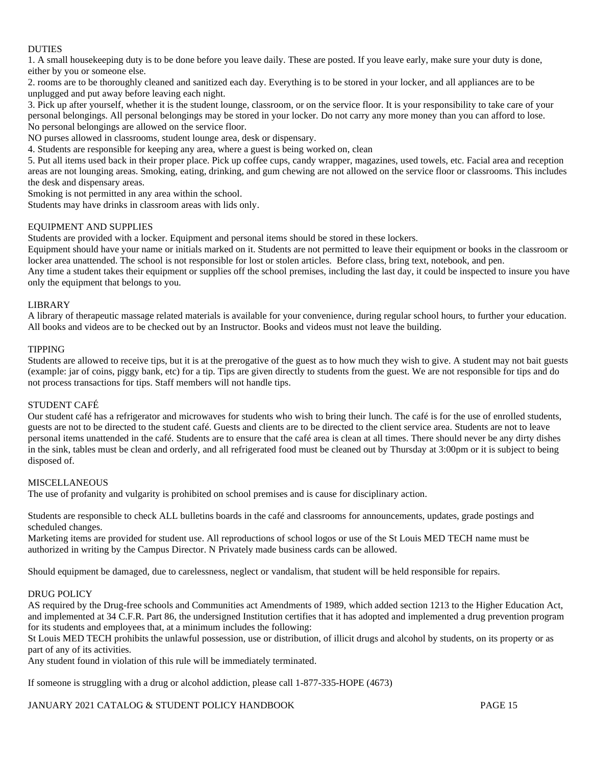#### DUTIES

1. A small housekeeping duty is to be done before you leave daily. These are posted. If you leave early, make sure your duty is done, either by you or someone else.

2. rooms are to be thoroughly cleaned and sanitized each day. Everything is to be stored in your locker, and all appliances are to be unplugged and put away before leaving each night.

3. Pick up after yourself, whether it is the student lounge, classroom, or on the service floor. It is your responsibility to take care of your personal belongings. All personal belongings may be stored in your locker. Do not carry any more money than you can afford to lose. No personal belongings are allowed on the service floor.

NO purses allowed in classrooms, student lounge area, desk or dispensary.

4. Students are responsible for keeping any area, where a guest is being worked on, clean

5. Put all items used back in their proper place. Pick up coffee cups, candy wrapper, magazines, used towels, etc. Facial area and reception areas are not lounging areas. Smoking, eating, drinking, and gum chewing are not allowed on the service floor or classrooms. This includes the desk and dispensary areas.

Smoking is not permitted in any area within the school.

Students may have drinks in classroom areas with lids only.

#### EQUIPMENT AND SUPPLIES

Students are provided with a locker. Equipment and personal items should be stored in these lockers.

Equipment should have your name or initials marked on it. Students are not permitted to leave their equipment or books in the classroom or locker area unattended. The school is not responsible for lost or stolen articles. Before class, bring text, notebook, and pen.

Any time a student takes their equipment or supplies off the school premises, including the last day, it could be inspected to insure you have only the equipment that belongs to you.

#### LIBRARY

A library of therapeutic massage related materials is available for your convenience, during regular school hours, to further your education. All books and videos are to be checked out by an Instructor. Books and videos must not leave the building.

#### TIPPING

Students are allowed to receive tips, but it is at the prerogative of the guest as to how much they wish to give. A student may not bait guests (example: jar of coins, piggy bank, etc) for a tip. Tips are given directly to students from the guest. We are not responsible for tips and do not process transactions for tips. Staff members will not handle tips.

#### STUDENT CAFÉ

Our student café has a refrigerator and microwaves for students who wish to bring their lunch. The café is for the use of enrolled students, guests are not to be directed to the student café. Guests and clients are to be directed to the client service area. Students are not to leave personal items unattended in the café. Students are to ensure that the café area is clean at all times. There should never be any dirty dishes in the sink, tables must be clean and orderly, and all refrigerated food must be cleaned out by Thursday at 3:00pm or it is subject to being disposed of.

#### MISCELLANEOUS

The use of profanity and vulgarity is prohibited on school premises and is cause for disciplinary action.

Students are responsible to check ALL bulletins boards in the café and classrooms for announcements, updates, grade postings and scheduled changes.

Marketing items are provided for student use. All reproductions of school logos or use of the St Louis MED TECH name must be authorized in writing by the Campus Director. N Privately made business cards can be allowed.

Should equipment be damaged, due to carelessness, neglect or vandalism, that student will be held responsible for repairs.

#### DRUG POLICY

AS required by the Drug-free schools and Communities act Amendments of 1989, which added section 1213 to the Higher Education Act, and implemented at 34 C.F.R. Part 86, the undersigned Institution certifies that it has adopted and implemented a drug prevention program for its students and employees that, at a minimum includes the following:

St Louis MED TECH prohibits the unlawful possession, use or distribution, of illicit drugs and alcohol by students, on its property or as part of any of its activities.

Any student found in violation of this rule will be immediately terminated.

If someone is struggling with a drug or alcohol addiction, please call 1-877-335-HOPE (4673)

JANUARY 2021 CATALOG & STUDENT POLICY HANDBOOK PAGE 15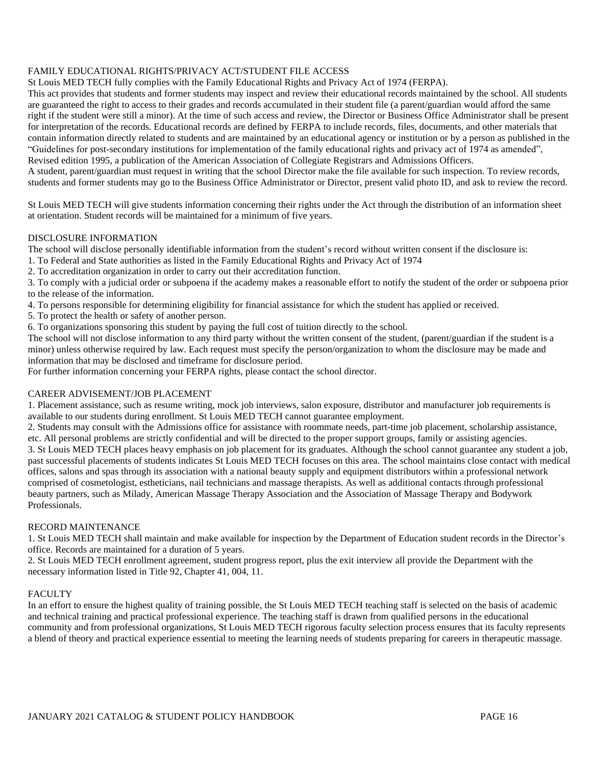#### FAMILY EDUCATIONAL RIGHTS/PRIVACY ACT/STUDENT FILE ACCESS

St Louis MED TECH fully complies with the Family Educational Rights and Privacy Act of 1974 (FERPA).

This act provides that students and former students may inspect and review their educational records maintained by the school. All students are guaranteed the right to access to their grades and records accumulated in their student file (a parent/guardian would afford the same right if the student were still a minor). At the time of such access and review, the Director or Business Office Administrator shall be present for interpretation of the records. Educational records are defined by FERPA to include records, files, documents, and other materials that contain information directly related to students and are maintained by an educational agency or institution or by a person as published in the "Guidelines for post-secondary institutions for implementation of the family educational rights and privacy act of 1974 as amended", Revised edition 1995, a publication of the American Association of Collegiate Registrars and Admissions Officers.

A student, parent/guardian must request in writing that the school Director make the file available for such inspection. To review records, students and former students may go to the Business Office Administrator or Director, present valid photo ID, and ask to review the record.

St Louis MED TECH will give students information concerning their rights under the Act through the distribution of an information sheet at orientation. Student records will be maintained for a minimum of five years.

#### DISCLOSURE INFORMATION

The school will disclose personally identifiable information from the student's record without written consent if the disclosure is:

1. To Federal and State authorities as listed in the Family Educational Rights and Privacy Act of 1974

2. To accreditation organization in order to carry out their accreditation function.

3. To comply with a judicial order or subpoena if the academy makes a reasonable effort to notify the student of the order or subpoena prior to the release of the information.

4. To persons responsible for determining eligibility for financial assistance for which the student has applied or received.

5. To protect the health or safety of another person.

6. To organizations sponsoring this student by paying the full cost of tuition directly to the school.

The school will not disclose information to any third party without the written consent of the student, (parent/guardian if the student is a minor) unless otherwise required by law. Each request must specify the person/organization to whom the disclosure may be made and information that may be disclosed and timeframe for disclosure period.

For further information concerning your FERPA rights, please contact the school director.

#### CAREER ADVISEMENT/JOB PLACEMENT

1. Placement assistance, such as resume writing, mock job interviews, salon exposure, distributor and manufacturer job requirements is available to our students during enrollment. St Louis MED TECH cannot guarantee employment.

2. Students may consult with the Admissions office for assistance with roommate needs, part-time job placement, scholarship assistance, etc. All personal problems are strictly confidential and will be directed to the proper support groups, family or assisting agencies.

3. St Louis MED TECH places heavy emphasis on job placement for its graduates. Although the school cannot guarantee any student a job, past successful placements of students indicates St Louis MED TECH focuses on this area. The school maintains close contact with medical offices, salons and spas through its association with a national beauty supply and equipment distributors within a professional network comprised of cosmetologist, estheticians, nail technicians and massage therapists. As well as additional contacts through professional beauty partners, such as Milady, American Massage Therapy Association and the Association of Massage Therapy and Bodywork Professionals.

#### RECORD MAINTENANCE

1. St Louis MED TECH shall maintain and make available for inspection by the Department of Education student records in the Director's office. Records are maintained for a duration of 5 years.

2. St Louis MED TECH enrollment agreement, student progress report, plus the exit interview all provide the Department with the necessary information listed in Title 92, Chapter 41, 004, 11.

#### **FACULTY**

In an effort to ensure the highest quality of training possible, the St Louis MED TECH teaching staff is selected on the basis of academic and technical training and practical professional experience. The teaching staff is drawn from qualified persons in the educational community and from professional organizations, St Louis MED TECH rigorous faculty selection process ensures that its faculty represents a blend of theory and practical experience essential to meeting the learning needs of students preparing for careers in therapeutic massage.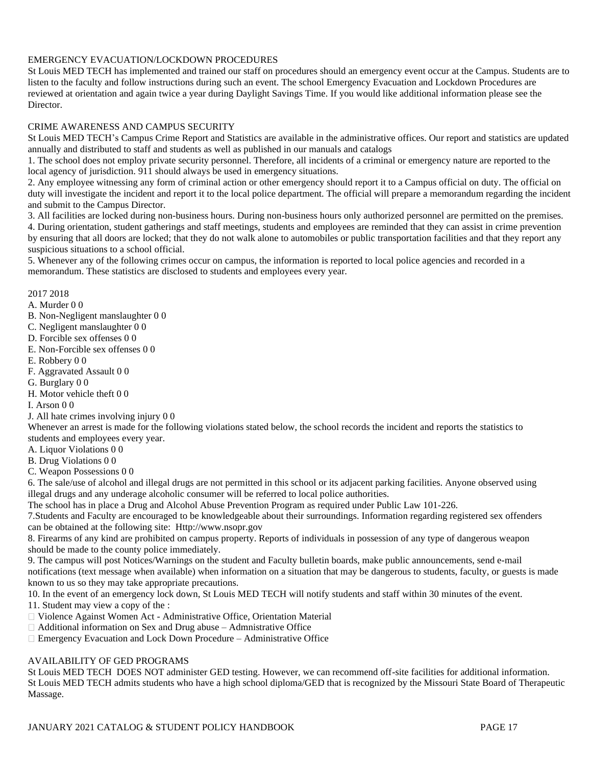#### EMERGENCY EVACUATION/LOCKDOWN PROCEDURES

St Louis MED TECH has implemented and trained our staff on procedures should an emergency event occur at the Campus. Students are to listen to the faculty and follow instructions during such an event. The school Emergency Evacuation and Lockdown Procedures are reviewed at orientation and again twice a year during Daylight Savings Time. If you would like additional information please see the Director.

#### CRIME AWARENESS AND CAMPUS SECURITY

St Louis MED TECH's Campus Crime Report and Statistics are available in the administrative offices. Our report and statistics are updated annually and distributed to staff and students as well as published in our manuals and catalogs

1. The school does not employ private security personnel. Therefore, all incidents of a criminal or emergency nature are reported to the local agency of jurisdiction. 911 should always be used in emergency situations.

2. Any employee witnessing any form of criminal action or other emergency should report it to a Campus official on duty. The official on duty will investigate the incident and report it to the local police department. The official will prepare a memorandum regarding the incident and submit to the Campus Director.

3. All facilities are locked during non-business hours. During non-business hours only authorized personnel are permitted on the premises. 4. During orientation, student gatherings and staff meetings, students and employees are reminded that they can assist in crime prevention by ensuring that all doors are locked; that they do not walk alone to automobiles or public transportation facilities and that they report any suspicious situations to a school official.

5. Whenever any of the following crimes occur on campus, the information is reported to local police agencies and recorded in a memorandum. These statistics are disclosed to students and employees every year.

2017 2018

- A. Murder 0 0
- B. Non-Negligent manslaughter 0 0
- C. Negligent manslaughter 0 0
- D. Forcible sex offenses 0 0
- E. Non-Forcible sex offenses 0 0
- E. Robbery 0 0
- F. Aggravated Assault 0 0
- G. Burglary 0 0
- H. Motor vehicle theft 0 0
- I. Arson 0 0

J. All hate crimes involving injury 0 0

Whenever an arrest is made for the following violations stated below, the school records the incident and reports the statistics to students and employees every year.

A. Liquor Violations 0 0

B. Drug Violations 0 0

C. Weapon Possessions 0 0

6. The sale/use of alcohol and illegal drugs are not permitted in this school or its adjacent parking facilities. Anyone observed using illegal drugs and any underage alcoholic consumer will be referred to local police authorities.

The school has in place a Drug and Alcohol Abuse Prevention Program as required under Public Law 101-226.

7.Students and Faculty are encouraged to be knowledgeable about their surroundings. Information regarding registered sex offenders can be obtained at the following site: Http://www.nsopr.gov

8. Firearms of any kind are prohibited on campus property. Reports of individuals in possession of any type of dangerous weapon should be made to the county police immediately.

9. The campus will post Notices/Warnings on the student and Faculty bulletin boards, make public announcements, send e-mail notifications (text message when available) when information on a situation that may be dangerous to students, faculty, or guests is made known to us so they may take appropriate precautions.

10. In the event of an emergency lock down, St Louis MED TECH will notify students and staff within 30 minutes of the event. 11. Student may view a copy of the :

Violence Against Women Act - Administrative Office, Orientation Material

 $\Box$  Additional information on Sex and Drug abuse – Admnistrative Office

Emergency Evacuation and Lock Down Procedure – Administrative Office

#### AVAILABILITY OF GED PROGRAMS

St Louis MED TECH DOES NOT administer GED testing. However, we can recommend off-site facilities for additional information. St Louis MED TECH admits students who have a high school diploma/GED that is recognized by the Missouri State Board of Therapeutic Massage.